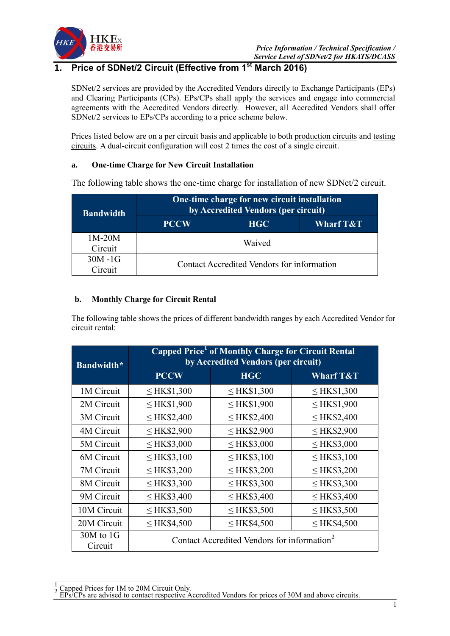

# **1. Price of SDNet/2 Circuit (Effective from 1st March 2016)**

SDNet/2 services are provided by the Accredited Vendors directly to Exchange Participants (EPs) and Clearing Participants (CPs). EPs/CPs shall apply the services and engage into commercial agreements with the Accredited Vendors directly. However, all Accredited Vendors shall offer SDNet/2 services to EPs/CPs according to a price scheme below.

Prices listed below are on a per circuit basis and applicable to both production circuits and testing circuits. A dual-circuit configuration will cost 2 times the cost of a single circuit.

### **a. One-time Charge for New Circuit Installation**

The following table shows the one-time charge for installation of new SDNet/2 circuit.

| <b>Bandwidth</b> |                                            | One-time charge for new circuit installation<br>by Accredited Vendors (per circuit) |                      |  |
|------------------|--------------------------------------------|-------------------------------------------------------------------------------------|----------------------|--|
|                  | <b>PCCW</b>                                | <b>HGC</b>                                                                          | <b>Wharf T&amp;T</b> |  |
| $1M-20M$         | Waived                                     |                                                                                     |                      |  |
| Circuit          |                                            |                                                                                     |                      |  |
| $30M - 1G$       | Contact Accredited Vendors for information |                                                                                     |                      |  |
| Circuit          |                                            |                                                                                     |                      |  |

## **b. Monthly Charge for Circuit Rental**

The following table shows the prices of different bandwidth ranges by each Accredited Vendor for circuit rental:

| Bandwidth*               | Capped Price <sup>1</sup> of Monthly Charge for Circuit Rental<br>by Accredited Vendors (per circuit) |                  |                      |
|--------------------------|-------------------------------------------------------------------------------------------------------|------------------|----------------------|
|                          | <b>PCCW</b>                                                                                           | <b>HGC</b>       | <b>Wharf T&amp;T</b> |
| 1M Circuit               | $\leq$ HK\$1,300                                                                                      | $\leq$ HK\$1,300 | $\leq$ HK\$1,300     |
| 2M Circuit               | $\leq$ HK\$1,900                                                                                      | $\leq$ HK\$1,900 | $\leq$ HK\$1,900     |
| 3M Circuit               | $\leq$ HK\$2,400                                                                                      | $\leq$ HK\$2,400 | $\leq$ HK\$2,400     |
| 4M Circuit               | $\leq$ HK\$2,900                                                                                      | $\leq$ HK\$2,900 | $\leq$ HK\$2,900     |
| 5M Circuit               | $\leq$ HK\$3,000                                                                                      | $\leq$ HK\$3,000 | $\leq$ HK\$3,000     |
| 6M Circuit               | $\leq$ HK\$3,100                                                                                      | $\leq$ HK\$3,100 | $\leq$ HK\$3,100     |
| 7M Circuit               | $\leq$ HK\$3,200                                                                                      | $\leq$ HK\$3,200 | $\leq$ HK\$3,200     |
| 8M Circuit               | $\leq$ HK\$3,300                                                                                      | $\leq$ HK\$3,300 | $\leq$ HK\$3,300     |
| 9M Circuit               | $\leq$ HK\$3,400                                                                                      | $\leq$ HK\$3,400 | $\leq$ HK\$3,400     |
| 10M Circuit              | $\leq$ HK\$3,500                                                                                      | $\leq$ HK\$3,500 | $\leq$ HK\$3,500     |
| 20M Circuit              | $\leq$ HK\$4,500                                                                                      | $\leq$ HK\$4,500 | $\leq$ HK\$4,500     |
| $30M$ to $1G$<br>Circuit | Contact Accredited Vendors for information <sup>2</sup>                                               |                  |                      |

1  $\frac{1}{2}$  Capped Prices for 1M to 20M Circuit Only.

EPs/CPs are advised to contact respective Accredited Vendors for prices of 30M and above circuits.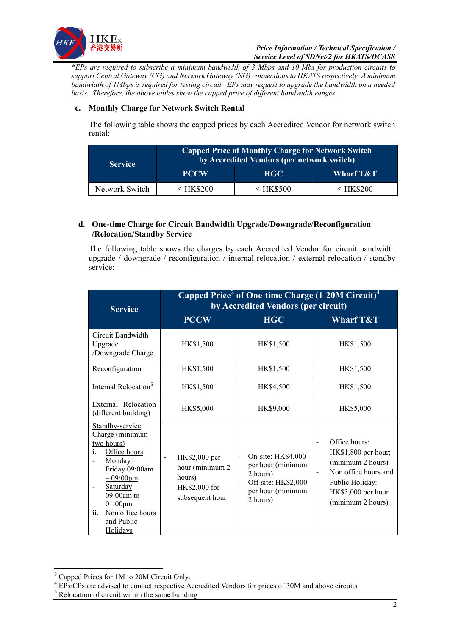

*\*EPs are required to subscribe a minimum bandwidth of 3 Mbps and 10 Mbs for production circuits to support Central Gateway (CG) and Network Gateway (NG) connections to HKATS respectively. A minimum bandwidth of 1Mbps is required for testing circuit. EPs may request to upgrade the bandwidth on a needed basis. Therefore, the above tables show the capped price of different bandwidth ranges.*

### **c. Monthly Charge for Network Switch Rental**

The following table shows the capped prices by each Accredited Vendor for network switch rental:

| <b>Service</b> | Capped Price of Monthly Charge for Network Switch<br>by Accredited Vendors (per network switch) |                |             |
|----------------|-------------------------------------------------------------------------------------------------|----------------|-------------|
|                | <b>PCCW</b>                                                                                     | HGC.           | Wharf T&T   |
| Network Switch | $\leq$ HK\$200                                                                                  | $\leq$ HK\$500 | $<$ HK\$200 |

### **d. One-time Charge for Circuit Bandwidth Upgrade/Downgrade/Reconfiguration /Relocation/Standby Service**

The following table shows the charges by each Accredited Vendor for circuit bandwidth upgrade / downgrade / reconfiguration / internal relocation / external relocation / standby service:

| <b>Service</b>                                                                                                                                                                                                                          | Capped Price <sup>3</sup> of One-time Charge (1-20M Circuit) <sup>4</sup><br>by Accredited Vendors (per circuit)                        |                                                                                                                                                           |                                                                                                                                                                                               |
|-----------------------------------------------------------------------------------------------------------------------------------------------------------------------------------------------------------------------------------------|-----------------------------------------------------------------------------------------------------------------------------------------|-----------------------------------------------------------------------------------------------------------------------------------------------------------|-----------------------------------------------------------------------------------------------------------------------------------------------------------------------------------------------|
|                                                                                                                                                                                                                                         | <b>PCCW</b>                                                                                                                             | <b>HGC</b>                                                                                                                                                | <b>Wharf T&amp;T</b>                                                                                                                                                                          |
| Circuit Bandwidth<br>Upgrade<br>/Downgrade Charge                                                                                                                                                                                       | HK\$1,500                                                                                                                               | HK\$1,500                                                                                                                                                 | HK\$1,500                                                                                                                                                                                     |
| Reconfiguration                                                                                                                                                                                                                         | HK\$1,500                                                                                                                               | HK\$1,500                                                                                                                                                 | HK\$1,500                                                                                                                                                                                     |
| Internal Relocation <sup>5</sup>                                                                                                                                                                                                        | HK\$1,500                                                                                                                               | HK\$4,500                                                                                                                                                 | HK\$1,500                                                                                                                                                                                     |
| External Relocation<br>(different building)                                                                                                                                                                                             | HK\$5,000                                                                                                                               | HK\$9,000                                                                                                                                                 | HK\$5,000                                                                                                                                                                                     |
| Standby-service<br>Charge (minimum<br>two hours)<br>Office hours<br>i.<br><u>Monday</u> $-$<br>Friday 09:00am<br>$-09:00 \text{pm}$<br>Saturday<br>09:00am to<br>$01:00 \text{pm}$<br>Non office hours<br>ii.<br>and Public<br>Holidays | HK\$2,000 per<br>$\overline{\phantom{0}}$<br>hour (minimum 2)<br>hours)<br>HK\$2,000 for<br>$\overline{\phantom{a}}$<br>subsequent hour | On-site: HK\$4,000<br>$\overline{a}$<br>per hour (minimum<br>2 hours)<br>Off-site: HK\$2,000<br>$\overline{\phantom{a}}$<br>per hour (minimum<br>2 hours) | Office hours:<br>$\overline{\phantom{a}}$<br>HK\$1,800 per hour;<br>(minimum 2 hours)<br>Non office hours and<br>$\blacksquare$<br>Public Holiday:<br>HK\$3,000 per hour<br>(minimum 2 hours) |

<u>.</u>

<sup>&</sup>lt;sup>3</sup> Capped Prices for 1M to 20M Circuit Only.

<sup>&</sup>lt;sup>4</sup> EPs/CPs are advised to contact respective Accredited Vendors for prices of 30M and above circuits.

<sup>&</sup>lt;sup>5</sup> Relocation of circuit within the same building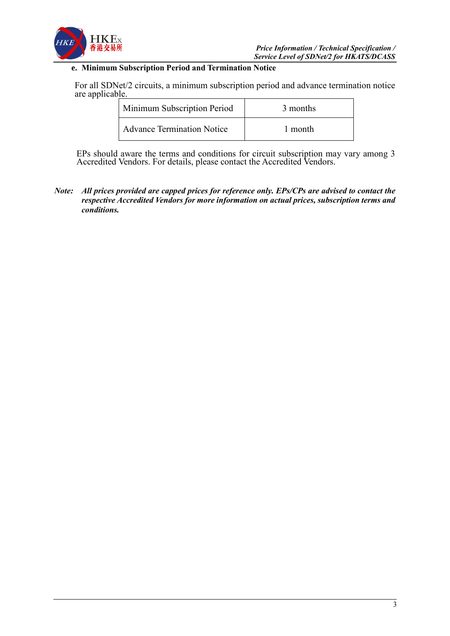

## **e. Minimum Subscription Period and Termination Notice**

For all SDNet/2 circuits, a minimum subscription period and advance termination notice are applicable.

| Minimum Subscription Period       | 3 months |  |
|-----------------------------------|----------|--|
| <b>Advance Termination Notice</b> | 1 month  |  |

EPs should aware the terms and conditions for circuit subscription may vary among 3 Accredited Vendors. For details, please contact the Accredited Vendors.

*Note: All prices provided are capped prices for reference only. EPs/CPs are advised to contact the respective Accredited Vendors for more information on actual prices, subscription terms and conditions.*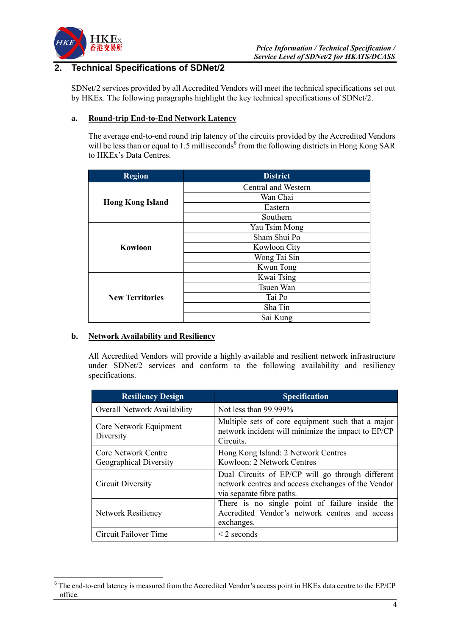

# **2. Technical Specifications of SDNet/2**

SDNet/2 services provided by all Accredited Vendors will meet the technical specifications set out by HKEx. The following paragraphs highlight the key technical specifications of SDNet/2.

### **a. Round-trip End-to-End Network Latency**

The average end-to-end round trip latency of the circuits provided by the Accredited Vendors will be less than or equal to 1.5 milliseconds<sup>6</sup> from the following districts in Hong Kong SAR to HKEx's Data Centres.

| <b>Region</b>           | <b>District</b>     |
|-------------------------|---------------------|
|                         | Central and Western |
|                         | Wan Chai            |
| <b>Hong Kong Island</b> | Eastern             |
|                         | Southern            |
|                         | Yau Tsim Mong       |
|                         | Sham Shui Po        |
| Kowloon                 | Kowloon City        |
|                         | Wong Tai Sin        |
|                         | Kwun Tong           |
|                         | Kwai Tsing          |
|                         | Tsuen Wan           |
| <b>New Territories</b>  | Tai Po              |
|                         | Sha Tin             |
|                         | Sai Kung            |

### **b. Network Availability and Resiliency**

1

All Accredited Vendors will provide a highly available and resilient network infrastructure under SDNet/2 services and conform to the following availability and resiliency specifications.

| <b>Resiliency Design</b>                      | <b>Specification</b>                                                                                                                |  |
|-----------------------------------------------|-------------------------------------------------------------------------------------------------------------------------------------|--|
| <b>Overall Network Availability</b>           | Not less than $99.999\%$                                                                                                            |  |
| Core Network Equipment<br>Diversity           | Multiple sets of core equipment such that a major<br>network incident will minimize the impact to EP/CP<br>Circuits.                |  |
| Core Network Centre<br>Geographical Diversity | Hong Kong Island: 2 Network Centres<br>Kowloon: 2 Network Centres                                                                   |  |
| Circuit Diversity                             | Dual Circuits of EP/CP will go through different<br>network centres and access exchanges of the Vendor<br>via separate fibre paths. |  |
| <b>Network Resiliency</b>                     | There is no single point of failure inside the<br>Accredited Vendor's network centres and access<br>exchanges.                      |  |
| Circuit Failover Time                         | $\leq$ 2 seconds                                                                                                                    |  |

<sup>6</sup> The end-to-end latency is measured from the Accredited Vendor's access point in HKEx data centre to the EP/CP office.